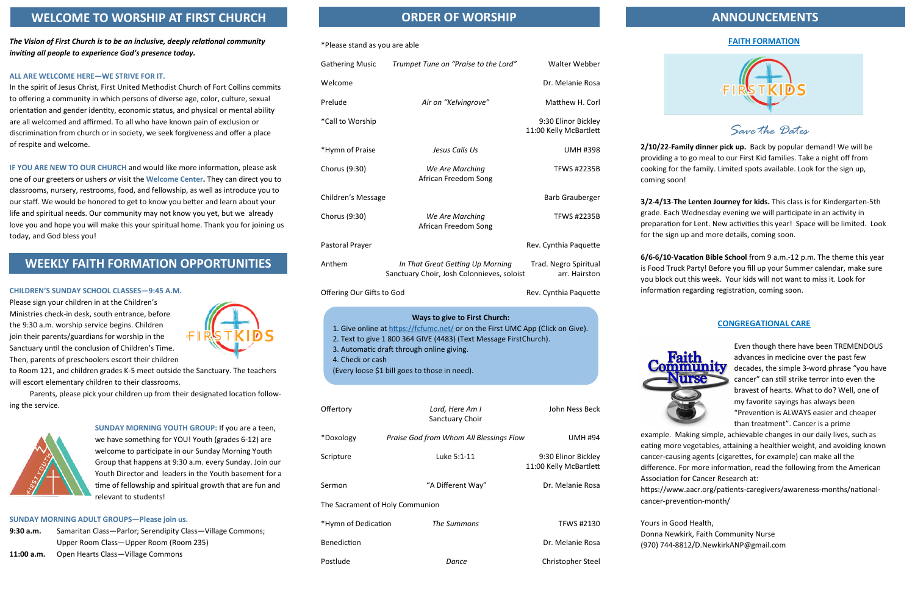### **FAITH FORMATION**



*Save the Dates*

**2/10/22**-**Family dinner pick up.** Back by popular demand! We will be providing a to go meal to our First Kid families. Take a night off from cooking for the family. Limited spots available. Look for the sign up, coming soon!

**3/2-4/13**-**The Lenten Journey for kids.** This class is for Kindergarten-5th grade. Each Wednesday evening we will participate in an activity in preparation for Lent. New activities this year! Space will be limited. Look for the sign up and more details, coming soon.

**6/6-6/10**-**Vacation Bible School** from 9 a.m.-12 p.m. The theme this year is Food Truck Party! Before you fill up your Summer calendar, make sure you block out this week. Your kids will not want to miss it. Look for information regarding registration, coming soon.

### **CONGREGATIONAL CARE**

Even though there have been TREMENDOUS advances in medicine over the past few decades, the simple 3-word phrase "you have cancer" can still strike terror into even the bravest of hearts. What to do? Well, one of my favorite sayings has always been "Prevention is ALWAYS easier and cheaper than treatment". Cancer is a prime

example. Making simple, achievable changes in our daily lives, such as eating more vegetables, attaining a healthier weight, and avoiding known cancer-causing agents (cigarettes, for example) can make all the difference. For more information, read the following from the American Association for Cancer Research at: https://www.aacr.org/patients-caregivers/awareness-months/nationalcancer-prevention-month/

Yours in Good Health, Donna Newkirk, Faith Community Nurse (970) 744-8812/D.NewkirkANP@gmail.com

### \*Please stand as you are able

*The Vision of First Church is to be an inclusive, deeply relational community inviting all people to experience God's presence today.*

### **ALL ARE WELCOME HERE—WE STRIVE FOR IT.**

In the spirit of Jesus Christ, First United Methodist Church of Fort Collins commits to offering a community in which persons of diverse age, color, culture, sexual orientation and gender identity, economic status, and physical or mental ability are all welcomed and affirmed. To all who have known pain of exclusion or discrimination from church or in society, we seek forgiveness and offer a place of respite and welcome.

| <b>Gathering Music</b>                                 | Trumpet Tune on "Praise to the Lord"                                                                                                                                                                                                                                                    | Walter Webber                                 |
|--------------------------------------------------------|-----------------------------------------------------------------------------------------------------------------------------------------------------------------------------------------------------------------------------------------------------------------------------------------|-----------------------------------------------|
| Welcome                                                |                                                                                                                                                                                                                                                                                         | Dr. Melanie Rosa                              |
| Prelude                                                | Air on "Kelvingrove"                                                                                                                                                                                                                                                                    | Matthew H. Corl                               |
| *Call to Worship                                       |                                                                                                                                                                                                                                                                                         | 9:30 Elinor Bickley<br>11:00 Kelly McBartlett |
| *Hymn of Praise                                        | Jesus Calls Us                                                                                                                                                                                                                                                                          | <b>UMH #398</b>                               |
| Chorus (9:30)                                          | We Are Marching<br>African Freedom Song                                                                                                                                                                                                                                                 | <b>TFWS #2235B</b>                            |
| Children's Message                                     |                                                                                                                                                                                                                                                                                         | <b>Barb Grauberger</b>                        |
| Chorus (9:30)                                          | We Are Marching<br>African Freedom Song                                                                                                                                                                                                                                                 | <b>TFWS #2235B</b>                            |
| Pastoral Prayer                                        |                                                                                                                                                                                                                                                                                         | Rev. Cynthia Paquette                         |
| Anthem                                                 | In That Great Getting Up Morning<br>Sanctuary Choir, Josh Colonnieves, soloist                                                                                                                                                                                                          | Trad. Negro Spiritual<br>arr. Hairston        |
| Offering Our Gifts to God                              |                                                                                                                                                                                                                                                                                         | Rev. Cynthia Paquette                         |
| 4. Check or cash<br>Offertory                          | 1. Give online at https://fcfumc.net/ or on the First UMC App (Click on Give).<br>2. Text to give 1 800 364 GIVE (4483) (Text Message FirstChurch).<br>3. Automatic draft through online giving.<br>(Every loose \$1 bill goes to those in need).<br>Lord, Here Am I<br>Sanctuary Choir | John Ness Beck                                |
| *Doxology                                              | Praise God from Whom All Blessings Flow                                                                                                                                                                                                                                                 | <b>UMH #94</b>                                |
| Scripture                                              | Luke 5:1-11                                                                                                                                                                                                                                                                             | 9:30 Elinor Bickley<br>11:00 Kelly McBartlett |
|                                                        |                                                                                                                                                                                                                                                                                         |                                               |
| Sermon                                                 | "A Different Way"                                                                                                                                                                                                                                                                       |                                               |
|                                                        |                                                                                                                                                                                                                                                                                         |                                               |
| The Sacrament of Holy Communion<br>*Hymn of Dedication | The Summons                                                                                                                                                                                                                                                                             | Dr. Melanie Rosa<br><b>TFWS #2130</b>         |

Postlude *Dance Dance* **Christopher Steel** 



**IF YOU ARE NEW TO OUR CHURCH** and would like more information, please ask one of our greeters or ushers *or* visit the **Welcome Center.** They can direct you to classrooms, nursery, restrooms, food, and fellowship, as well as introduce you to our staff. We would be honored to get to know you better and learn about your life and spiritual needs. Our community may not know you yet, but we already love you and hope you will make this your spiritual home. Thank you for joining us today, and God bless you!

### **CHILDREN'S SUNDAY SCHOOL CLASSES—9:45 A.M.**

Please sign your children in at the Children's Ministries check-in desk, south entrance, before the 9:30 a.m. worship service begins. Children join their parents/guardians for worship in the Sanctuary until the conclusion of Children's Time. Then, parents of preschoolers escort their children



to Room 121, and children grades K-5 meet outside the Sanctuary. The teachers will escort elementary children to their classrooms.

Parents, please pick your children up from their designated location following the service.



**SUNDAY MORNING YOUTH GROUP:** If you are a teen, we have something for YOU! Youth (grades 6-12) are welcome to participate in our Sunday Morning Youth Group that happens at 9:30 a.m. every Sunday. Join our Youth Director and leaders in the Youth basement for a time of fellowship and spiritual growth that are fun and relevant to students!

### **SUNDAY MORNING ADULT GROUPS—Please join us.**

- **9:30 a.m.** Samaritan Class—Parlor; Serendipity Class—Village Commons; Upper Room Class—Upper Room (Room 235)
- **11:00 a.m.** Open Hearts Class—Village Commons

### **ORDER OF WORSHIP ANNOUNCEMENTS**

### **WELCOME TO WORSHIP AT FIRST CHURCH**

## **WEEKLY FAITH FORMATION OPPORTUNITIES**